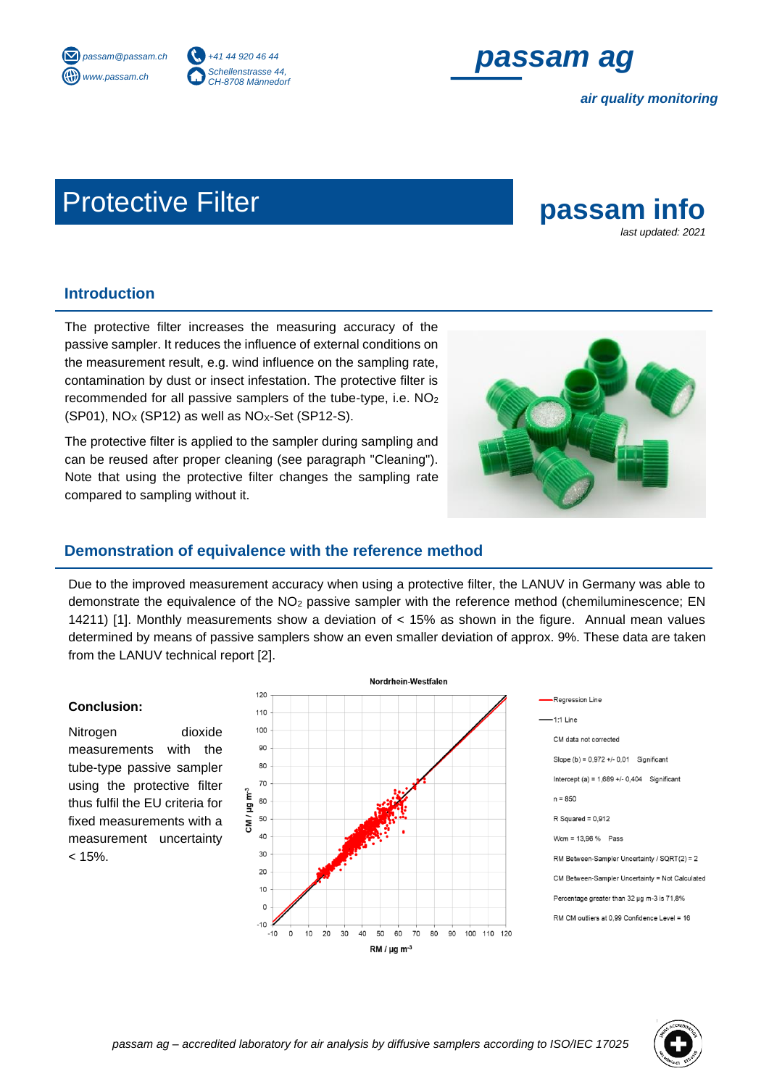



*air quality monitoring*

# Protective Filter **passam info**



## **Introduction**

The protective filter increases the measuring accuracy of the passive sampler. It reduces the influence of external conditions on the measurement result, e.g. wind influence on the sampling rate, contamination by dust or insect infestation. The protective filter is recommended for all passive samplers of the tube-type, i.e. NO<sup>2</sup>  $(SP01)$ , NO<sub>x</sub>  $(SP12)$  as well as NO<sub>x</sub>-Set  $(SP12-S)$ .

The protective filter is applied to the sampler during sampling and can be reused after proper cleaning (see paragraph "Cleaning"). Note that using the protective filter changes the sampling rate compared to sampling without it.



## **Demonstration of equivalence with the reference method**

Due to the improved measurement accuracy when using a protective filter, the LANUV in Germany was able to demonstrate the equivalence of the NO<sub>2</sub> passive sampler with the reference method (chemiluminescence: EN 14211) [1]. Monthly measurements show a deviation of < 15% as shown in the figure. Annual mean values determined by means of passive samplers show an even smaller deviation of approx. 9%. These data are taken from the LANUV technical report [2].

#### **Conclusion:**

Nitrogen dioxide measurements with the tube-type passive sampler using the protective filter thus fulfil the EU criteria for fixed measurements with a measurement uncertainty  $< 15%$ .